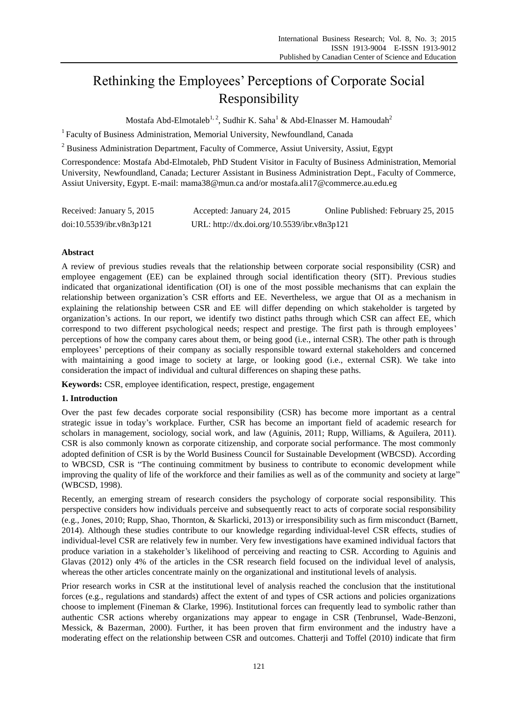# Rethinking the Employees" Perceptions of Corporate Social Responsibility

Mostafa Abd-Elmotaleb<sup>1, 2</sup>, Sudhir K. Saha<sup>1</sup> & Abd-Elnasser M. Hamoudah<sup>2</sup>

<sup>1</sup> Faculty of Business Administration, Memorial University, Newfoundland, Canada

<sup>2</sup> Business Administration Department, Faculty of Commerce, Assiut University, Assiut, Egypt

Correspondence: Mostafa Abd-Elmotaleb, PhD Student Visitor in Faculty of Business Administration, Memorial University, Newfoundland, Canada; Lecturer Assistant in Business Administration Dept., Faculty of Commerce, Assiut University, Egypt. E-mail: mama38@mun.ca and/or mostafa.ali17@commerce.au.edu.eg

| Received: January 5, 2015 | Accepted: January 24, 2015                  | Online Published: February 25, 2015 |
|---------------------------|---------------------------------------------|-------------------------------------|
| doi:10.5539/ibr.v8n3p121  | URL: http://dx.doi.org/10.5539/ibr.v8n3p121 |                                     |

# **Abstract**

A review of previous studies reveals that the relationship between corporate social responsibility (CSR) and employee engagement (EE) can be explained through social identification theory (SIT). Previous studies indicated that organizational identification (OI) is one of the most possible mechanisms that can explain the relationship between organization"s CSR efforts and EE. Nevertheless, we argue that OI as a mechanism in explaining the relationship between CSR and EE will differ depending on which stakeholder is targeted by organization"s actions. In our report, we identify two distinct paths through which CSR can affect EE, which correspond to two different psychological needs; respect and prestige. The first path is through employees' perceptions of how the company cares about them, or being good (i.e., internal CSR). The other path is through employees" perceptions of their company as socially responsible toward external stakeholders and concerned with maintaining a good image to society at large, or looking good (i.e., external CSR). We take into consideration the impact of individual and cultural differences on shaping these paths.

**Keywords:** CSR, employee identification, respect, prestige, engagement

# **1. Introduction**

Over the past few decades corporate social responsibility (CSR) has become more important as a central strategic issue in today"s workplace. Further, CSR has become an important field of academic research for scholars in management, sociology, social work, and law (Aguinis, 2011; Rupp, Williams, & Aguilera, 2011). CSR is also commonly known as corporate citizenship, and corporate social performance. The most commonly adopted definition of CSR is by the World Business Council for Sustainable Development (WBCSD). According to WBCSD, CSR is "The continuing commitment by business to contribute to economic development while improving the quality of life of the workforce and their families as well as of the community and society at large" (WBCSD, 1998).

Recently, an emerging stream of research considers the psychology of corporate social responsibility. This perspective considers how individuals perceive and subsequently react to acts of corporate social responsibility (e.g., Jones, 2010; Rupp, Shao, Thornton, & Skarlicki, 2013) or irresponsibility such as firm misconduct (Barnett, 2014). Although these studies contribute to our knowledge regarding individual-level CSR effects, studies of individual-level CSR are relatively few in number. Very few investigations have examined individual factors that produce variation in a stakeholder"s likelihood of perceiving and reacting to CSR. According to Aguinis and Glavas (2012) only 4% of the articles in the CSR research field focused on the individual level of analysis, whereas the other articles concentrate mainly on the organizational and institutional levels of analysis.

Prior research works in CSR at the institutional level of analysis reached the conclusion that the institutional forces (e.g., regulations and standards) affect the extent of and types of CSR actions and policies organizations choose to implement (Fineman & Clarke, 1996). Institutional forces can frequently lead to symbolic rather than authentic CSR actions whereby organizations may appear to engage in CSR (Tenbrunsel, Wade-Benzoni, Messick, & Bazerman, 2000). Further, it has been proven that firm environment and the industry have a moderating effect on the relationship between CSR and outcomes. Chatterji and Toffel (2010) indicate that firm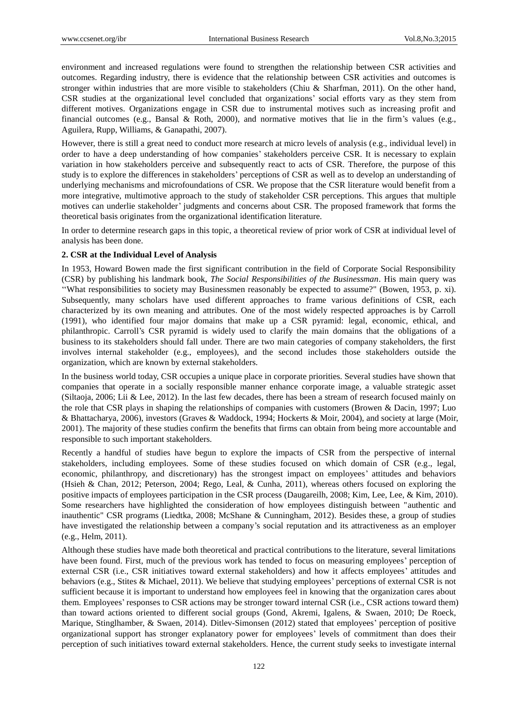environment and increased regulations were found to strengthen the relationship between CSR activities and outcomes. Regarding industry, there is evidence that the relationship between CSR activities and outcomes is stronger within industries that are more visible to stakeholders (Chiu & Sharfman, 2011). On the other hand, CSR studies at the organizational level concluded that organizations" social efforts vary as they stem from different motives. Organizations engage in CSR due to instrumental motives such as increasing profit and financial outcomes (e.g., Bansal & Roth, 2000), and normative motives that lie in the firm"s values (e.g., Aguilera, Rupp, Williams, & Ganapathi, 2007).

However, there is still a great need to conduct more research at micro levels of analysis (e.g., individual level) in order to have a deep understanding of how companies" stakeholders perceive CSR. It is necessary to explain variation in how stakeholders perceive and subsequently react to acts of CSR. Therefore, the purpose of this study is to explore the differences in stakeholders" perceptions of CSR as well as to develop an understanding of underlying mechanisms and microfoundations of CSR. We propose that the CSR literature would benefit from a more integrative, multimotive approach to the study of stakeholder CSR perceptions. This argues that multiple motives can underlie stakeholder" judgments and concerns about CSR. The proposed framework that forms the theoretical basis originates from the organizational identification literature.

In order to determine research gaps in this topic, a theoretical review of prior work of CSR at individual level of analysis has been done.

# **2. CSR at the Individual Level of Analysis**

In 1953, Howard Bowen made the first significant contribution in the field of Corporate Social Responsibility (CSR) by publishing his landmark book, *The Social Responsibilities of the Businessman*. His main query was "What responsibilities to society may Businessmen reasonably be expected to assume?" (Bowen, 1953, p. xi). Subsequently, many scholars have used different approaches to frame various definitions of CSR, each characterized by its own meaning and attributes. One of the most widely respected approaches is by Carroll (1991), who identified four major domains that make up a CSR pyramid: legal, economic, ethical, and philanthropic. Carroll"s CSR pyramid is widely used to clarify the main domains that the obligations of a business to its stakeholders should fall under. There are two main categories of company stakeholders, the first involves internal stakeholder (e.g., employees), and the second includes those stakeholders outside the organization, which are known by external stakeholders.

In the business world today, CSR occupies a unique place in corporate priorities. Several studies have shown that companies that operate in a socially responsible manner enhance corporate image, a valuable strategic asset (Siltaoja, 2006; Lii & Lee, 2012). In the last few decades, there has been a stream of research focused mainly on the role that CSR plays in shaping the relationships of companies with customers (Browen & Dacin, 1997; Luo & Bhattacharya, 2006), investors (Graves & Waddock, 1994; Hockerts & Moir, 2004), and society at large (Moir, 2001). The majority of these studies confirm the benefits that firms can obtain from being more accountable and responsible to such important stakeholders.

Recently a handful of studies have begun to explore the impacts of CSR from the perspective of internal stakeholders, including employees. Some of these studies focused on which domain of CSR (e.g., legal, economic, philanthropy, and discretionary) has the strongest impact on employees" attitudes and behaviors (Hsieh & Chan, 2012; Peterson, 2004; Rego, Leal, & Cunha, 2011), whereas others focused on exploring the positive impacts of employees participation in the CSR process (Daugareilh, 2008; Kim, Lee, Lee, & Kim, 2010). Some researchers have highlighted the consideration of how employees distinguish between "authentic and inauthentic" CSR programs (Liedtka, 2008; McShane & Cunningham, 2012). Besides these, a group of studies have investigated the relationship between a company"s social reputation and its attractiveness as an employer (e.g., Helm, 2011).

Although these studies have made both theoretical and practical contributions to the literature, several limitations have been found. First, much of the previous work has tended to focus on measuring employees' perception of external CSR (i.e., CSR initiatives toward external stakeholders) and how it affects employees" attitudes and behaviors (e.g., Stites & Michael, 2011). We believe that studying employees" perceptions of external CSR is not sufficient because it is important to understand how employees feel in knowing that the organization cares about them. Employees" responses to CSR actions may be stronger toward internal CSR (i.e., CSR actions toward them) than toward actions oriented to different social groups (Gond, Akremi, Igalens, & Swaen, 2010; De Roeck, Marique, Stinglhamber, & Swaen, 2014). Ditlev-Simonsen (2012) stated that employees' perception of positive organizational support has stronger explanatory power for employees" levels of commitment than does their perception of such initiatives toward external stakeholders. Hence, the current study seeks to investigate internal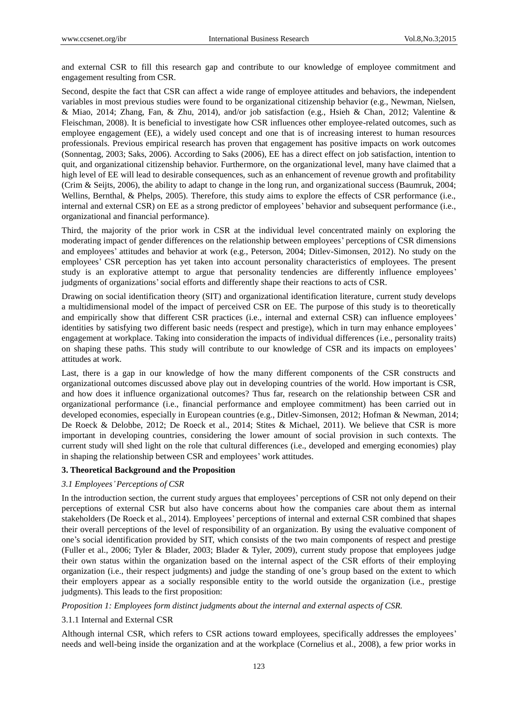and external CSR to fill this research gap and contribute to our knowledge of employee commitment and engagement resulting from CSR.

Second, despite the fact that CSR can affect a wide range of employee attitudes and behaviors, the independent variables in most previous studies were found to be organizational citizenship behavior (e.g., Newman, Nielsen, & Miao, 2014; Zhang, Fan, & Zhu, 2014), and/or job satisfaction (e.g., Hsieh & Chan, 2012; Valentine & Fleischman, 2008). It is beneficial to investigate how CSR influences other employee-related outcomes, such as employee engagement (EE), a widely used concept and one that is of increasing interest to human resources professionals. Previous empirical research has proven that engagement has positive impacts on work outcomes (Sonnentag, 2003; Saks, 2006). According to Saks (2006), EE has a direct effect on job satisfaction, intention to quit, and organizational citizenship behavior. Furthermore, on the organizational level, many have claimed that a high level of EE will lead to desirable consequences, such as an enhancement of revenue growth and profitability (Crim & Seijts, 2006), the ability to adapt to change in the long run, and organizational success (Baumruk, 2004; Wellins, Bernthal, & Phelps, 2005). Therefore, this study aims to explore the effects of CSR performance (i.e., internal and external CSR) on EE as a strong predictor of employees" behavior and subsequent performance (i.e., organizational and financial performance).

Third, the majority of the prior work in CSR at the individual level concentrated mainly on exploring the moderating impact of gender differences on the relationship between employees" perceptions of CSR dimensions and employees" attitudes and behavior at work (e.g., Peterson, 2004; Ditlev-Simonsen, 2012). No study on the employees" CSR perception has yet taken into account personality characteristics of employees. The present study is an explorative attempt to argue that personality tendencies are differently influence employees' judgments of organizations"social efforts and differently shape their reactions to acts of CSR.

Drawing on social identification theory (SIT) and organizational identification literature, current study develops a multidimensional model of the impact of perceived CSR on EE. The purpose of this study is to theoretically and empirically show that different CSR practices (i.e., internal and external CSR) can influence employees' identities by satisfying two different basic needs (respect and prestige), which in turn may enhance employees' engagement at workplace. Taking into consideration the impacts of individual differences (i.e., personality traits) on shaping these paths. This study will contribute to our knowledge of CSR and its impacts on employees" attitudes at work.

Last, there is a gap in our knowledge of how the many different components of the CSR constructs and organizational outcomes discussed above play out in developing countries of the world. How important is CSR, and how does it influence organizational outcomes? Thus far, research on the relationship between CSR and organizational performance (i.e., financial performance and employee commitment) has been carried out in developed economies, especially in European countries (e.g., Ditlev-Simonsen, 2012; Hofman & Newman, 2014; De Roeck & Delobbe, 2012; De Roeck et al., 2014; Stites & Michael, 2011). We believe that CSR is more important in developing countries, considering the lower amount of social provision in such contexts. The current study will shed light on the role that cultural differences (i.e., developed and emerging economies) play in shaping the relationship between CSR and employees' work attitudes.

### **3. Theoretical Background and the Proposition**

# *3.1 Employees'Perceptions of CSR*

In the introduction section, the current study argues that employees' perceptions of CSR not only depend on their perceptions of external CSR but also have concerns about how the companies care about them as internal stakeholders (De Roeck et al., 2014). Employees" perceptions of internal and external CSR combined that shapes their overall perceptions of the level of responsibility of an organization. By using the evaluative component of one"s social identification provided by SIT, which consists of the two main components of respect and prestige (Fuller et al., 2006; Tyler & Blader, 2003; Blader & Tyler, 2009), current study propose that employees judge their own status within the organization based on the internal aspect of the CSR efforts of their employing organization (i.e., their respect judgments) and judge the standing of one"s group based on the extent to which their employers appear as a socially responsible entity to the world outside the organization (i.e., prestige judgments). This leads to the first proposition:

#### *Proposition 1: Employees form distinct judgments about the internal and external aspects of CSR.*

#### 3.1.1 Internal and External CSR

Although internal CSR, which refers to CSR actions toward employees, specifically addresses the employees' needs and well-being inside the organization and at the workplace (Cornelius et al., 2008), a few prior works in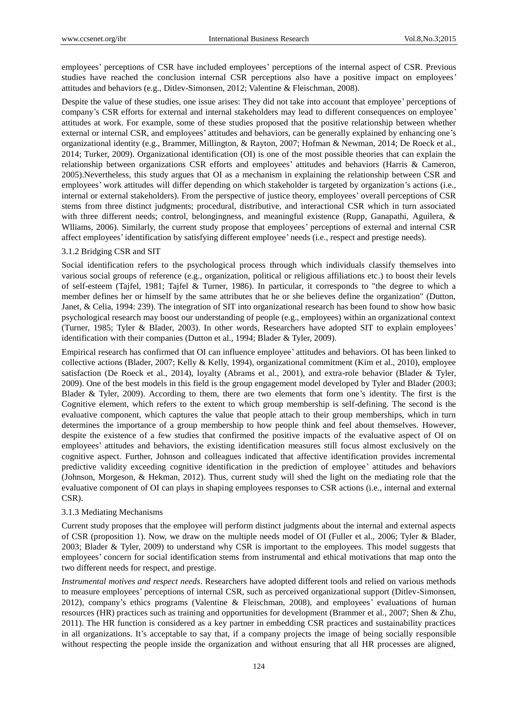employees" perceptions of CSR have included employees" perceptions of the internal aspect of CSR. Previous studies have reached the conclusion internal CSR perceptions also have a positive impact on employees" attitudes and behaviors (e.g., Ditlev-Simonsen, 2012; Valentine & Fleischman, 2008).

Despite the value of these studies, one issue arises: They did not take into account that employee" perceptions of company's CSR efforts for external and internal stakeholders may lead to different consequences on employee' attitudes at work. For example, some of these studies proposed that the positive relationship between whether external or internal CSR, and employees' attitudes and behaviors, can be generally explained by enhancing one's organizational identity (e.g., Brammer, Millington, & Rayton, 2007; Hofman & Newman, 2014; De Roeck et al., 2014; Turker, 2009). Organizational identification (OI) is one of the most possible theories that can explain the relationship between organizations CSR efforts and employees" attitudes and behaviors (Harris & Cameron, 2005).Nevertheless*,* this study argues that OI as a mechanism in explaining the relationship between CSR and employees' work attitudes will differ depending on which stakeholder is targeted by organization's actions (i.e., internal or external stakeholders). From the perspective of justice theory, employees" overall perceptions of CSR stems from three distinct judgments; procedural, distributive, and interactional CSR which in turn associated with three different needs; control, belongingness, and meaningful existence (Rupp, Ganapathi, Aguilera, & Williams, 2006). Similarly, the current study propose that employees' perceptions of external and internal CSR affect employees" identification by satisfying different employee" needs (i.e., respect and prestige needs).

# 3.1.2 Bridging CSR and SIT

Social identification refers to the psychological process through which individuals classify themselves into various social groups of reference (e.g., organization, political or religious affiliations etc.) to boost their levels of self-esteem (Tajfel, 1981; Tajfel & Turner, 1986). In particular, it corresponds to "the degree to which a member defines her or himself by the same attributes that he or she believes define the organization" (Dutton, Janet, & Celia, 1994: 239). The integration of SIT into organizational research has been found to show how basic psychological research may boost our understanding of people (e.g., employees) within an organizational context (Turner, 1985; Tyler & Blader, 2003). In other words, Researchers have adopted SIT to explain employees" identification with their companies (Dutton et al., 1994; Blader & Tyler, 2009).

Empirical research has confirmed that OI can influence employee" attitudes and behaviors. OI has been linked to collective actions (Blader, 2007; Kelly & Kelly, 1994), organizational commitment (Kim et al., 2010), employee satisfaction (De Roeck et al., 2014), loyalty (Abrams et al., 2001), and extra-role behavior (Blader & Tyler, 2009). One of the best models in this field is the group engagement model developed by Tyler and Blader (2003; Blader & Tyler, 2009). According to them, there are two elements that form one"s identity. The first is the Cognitive element, which refers to the extent to which group membership is self-defining. The second is the evaluative component, which captures the value that people attach to their group memberships, which in turn determines the importance of a group membership to how people think and feel about themselves. However, despite the existence of a few studies that confirmed the positive impacts of the evaluative aspect of OI on employees" attitudes and behaviors, the existing identification measures still focus almost exclusively on the cognitive aspect. Further, Johnson and colleagues indicated that affective identification provides incremental predictive validity exceeding cognitive identification in the prediction of employee" attitudes and behaviors (Johnson, Morgeson, & Hekman, 2012). Thus, current study will shed the light on the mediating role that the evaluative component of OI can plays in shaping employees responses to CSR actions (i.e., internal and external CSR).

#### 3.1.3 Mediating Mechanisms

Current study proposes that the employee will perform distinct judgments about the internal and external aspects of CSR (proposition 1). Now, we draw on the multiple needs model of OI (Fuller et al., 2006; Tyler & Blader, 2003; Blader & Tyler, 2009) to understand why CSR is important to the employees. This model suggests that employees" concern for social identification stems from instrumental and ethical motivations that map onto the two different needs for respect, and prestige.

*Instrumental motives and respect needs*. Researchers have adopted different tools and relied on various methods to measure employees" perceptions of internal CSR, such as perceived organizational support (Ditlev-Simonsen, 2012), company"s ethics programs (Valentine & Fleischman, 2008), and employees" evaluations of human resources (HR) practices such as training and opportunities for development (Brammer et al., 2007; Shen & Zhu, 2011). The HR function is considered as a key partner in embedding CSR practices and sustainability practices in all organizations. It's acceptable to say that, if a company projects the image of being socially responsible without respecting the people inside the organization and without ensuring that all HR processes are aligned,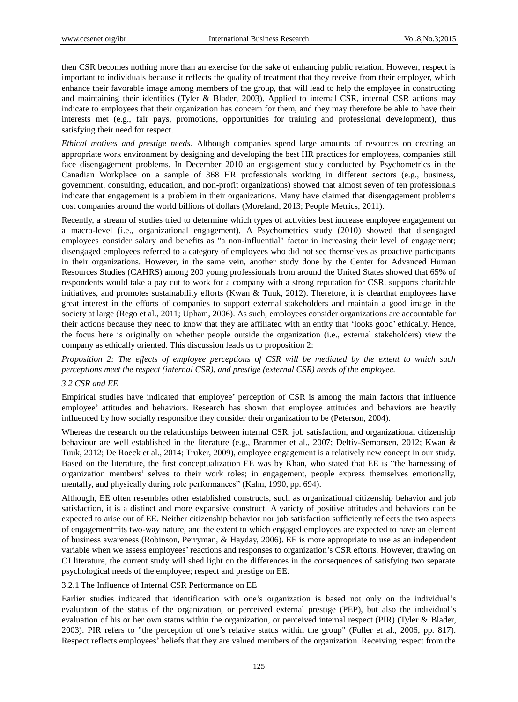then CSR becomes nothing more than an exercise for the sake of enhancing public relation. However, respect is important to individuals because it reflects the quality of treatment that they receive from their employer, which enhance their favorable image among members of the group, that will lead to help the employee in constructing and maintaining their identities (Tyler & Blader, 2003). Applied to internal CSR, internal CSR actions may indicate to employees that their organization has concern for them, and they may therefore be able to have their interests met (e.g., fair pays, promotions, opportunities for training and professional development), thus satisfying their need for respect.

*Ethical motives and prestige needs*. Although companies spend large amounts of resources on creating an appropriate work environment by designing and developing the best HR practices for employees, companies still face disengagement problems. In December 2010 an engagement study conducted by Psychometrics in the Canadian Workplace on a sample of 368 HR professionals working in different sectors (e.g., business, government, consulting, education, and non-profit organizations) showed that almost seven of ten professionals indicate that engagement is a problem in their organizations. Many have claimed that disengagement problems cost companies around the world billions of dollars (Moreland, 2013; People Metrics, 2011).

Recently, a stream of studies tried to determine which types of activities best increase employee engagement on a macro-level (i.e., organizational engagement). A Psychometrics study (2010) showed that disengaged employees consider salary and benefits as "a non-influential" factor in increasing their level of engagement; disengaged employees referred to a category of employees who did not see themselves as proactive participants in their organizations. However, in the same vein, another study done by the Center for Advanced Human Resources Studies (CAHRS) among 200 young professionals from around the United States showed that 65% of respondents would take a pay cut to work for a company with a strong reputation for CSR, supports charitable initiatives, and promotes sustainability efforts (Kwan & Tuuk, 2012). Therefore, it is clearthat employees have great interest in the efforts of companies to support external stakeholders and maintain a good image in the society at large (Rego et al., 2011; Upham, 2006). As such, employees consider organizations are accountable for their actions because they need to know that they are affiliated with an entity that "looks good" ethically. Hence, the focus here is originally on whether people outside the organization (i.e., external stakeholders) view the company as ethically oriented. This discussion leads us to proposition 2:

*Proposition 2: The effects of employee perceptions of CSR will be mediated by the extent to which such perceptions meet the respect (internal CSR), and prestige (external CSR) needs of the employee.*

#### *3.2 CSR and EE*

Empirical studies have indicated that employee" perception of CSR is among the main factors that influence employee" attitudes and behaviors. Research has shown that employee attitudes and behaviors are heavily influenced by how socially responsible they consider their organization to be (Peterson, 2004).

Whereas the research on the relationships between internal CSR, job satisfaction, and organizational citizenship behaviour are well established in the literature (e.g., Brammer et al., 2007; Deltiv-Semonsen, 2012; Kwan & Tuuk, 2012; De Roeck et al., 2014; Truker, 2009), employee engagement is a relatively new concept in our study. Based on the literature, the first conceptualization EE was by Khan, who stated that EE is "the harnessing of organization members" selves to their work roles; in engagement, people express themselves emotionally, mentally, and physically during role performances" (Kahn, 1990, pp. 694).

Although, EE often resembles other established constructs, such as organizational citizenship behavior and job satisfaction, it is a distinct and more expansive construct. A variety of positive attitudes and behaviors can be expected to arise out of EE. Neither citizenship behavior nor job satisfaction sufficiently reflects the two aspects of engagement\_\_its two-way nature, and the extent to which engaged employees are expected to have an element of business awareness (Robinson, Perryman, & Hayday, 2006). EE is more appropriate to use as an independent variable when we assess employees' reactions and responses to organization's CSR efforts. However, drawing on OI literature, the current study will shed light on the differences in the consequences of satisfying two separate psychological needs of the employee; respect and prestige on EE.

# 3.2.1 The Influence of Internal CSR Performance on EE

Earlier studies indicated that identification with one"s organization is based not only on the individual"s evaluation of the status of the organization, or perceived external prestige (PEP), but also the individual"s evaluation of his or her own status within the organization, or perceived internal respect (PIR) (Tyler & Blader, 2003). PIR refers to "the perception of one"s relative status within the group" (Fuller et al., 2006, pp. 817). Respect reflects employees" beliefs that they are valued members of the organization. Receiving respect from the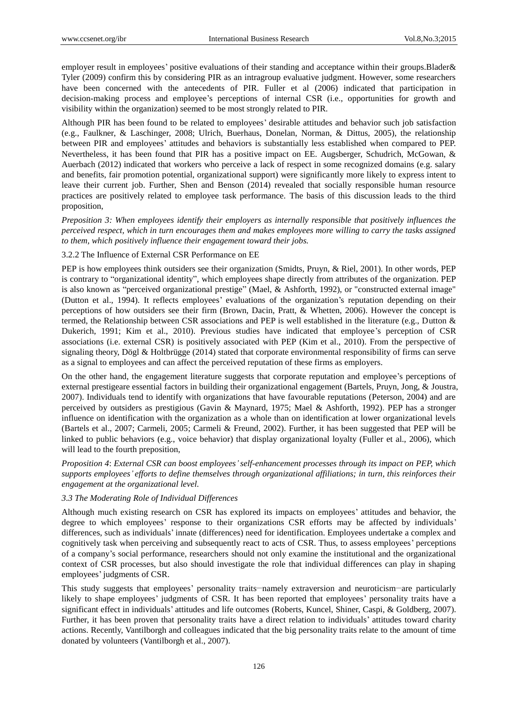employer result in employees' positive evaluations of their standing and acceptance within their groups. Blader & Tyler (2009) confirm this by considering PIR as an intragroup evaluative judgment. However, some researchers have been concerned with the antecedents of PIR. Fuller et al (2006) indicated that participation in decision-making process and employee's perceptions of internal CSR (i.e., opportunities for growth and visibility within the organization) seemed to be most strongly related to PIR.

Although PIR has been found to be related to employees" desirable attitudes and behavior such job satisfaction (e.g., Faulkner, & Laschinger, 2008; Ulrich, Buerhaus, Donelan, Norman, & Dittus, 2005), the relationship between PIR and employees" attitudes and behaviors is substantially less established when compared to PEP. Nevertheless, it has been found that PIR has a positive impact on EE. Augsberger, Schudrich, McGowan, & Auerbach (2012) indicated that workers who perceive a lack of respect in some recognized domains (e.g. salary and benefits, fair promotion potential, organizational support) were significantly more likely to express intent to leave their current job. Further, Shen and Benson (2014) revealed that socially responsible human resource practices are positively related to employee task performance. The basis of this discussion leads to the third proposition,

*Preposition 3: When employees identify their employers as internally responsible that positively influences the perceived respect, which in turn encourages them and makes employees more willing to carry the tasks assigned to them, which positively influence their engagement toward their jobs.*

# 3.2.2 The Influence of External CSR Performance on EE

PEP is how employees think outsiders see their organization (Smidts, Pruyn, & Riel, 2001). In other words, PEP is contrary to "organizational identity", which employees shape directly from attributes of the organization. PEP is also known as "perceived organizational prestige" (Mael, & Ashforth, 1992), or "constructed external image" (Dutton et al., 1994). It reflects employees' evaluations of the organization's reputation depending on their perceptions of how outsiders see their firm (Brown, Dacin, Pratt, & Whetten, 2006). However the concept is termed, the Relationship between CSR associations and PEP is well established in the literature (e.g., Dutton & Dukerich, 1991; Kim et al., 2010). Previous studies have indicated that employee's perception of CSR associations (i.e. external CSR) is positively associated with PEP (Kim et al., 2010). From the perspective of signaling theory, Dögl & Holtbrügge (2014) stated that corporate environmental responsibility of firms can serve as a signal to employees and can affect the perceived reputation of these firms as employers.

On the other hand, the engagement literature suggests that corporate reputation and employee"s perceptions of external prestigeare essential factors in building their organizational engagement (Bartels, Pruyn, Jong, & Joustra, 2007). Individuals tend to identify with organizations that have favourable reputations (Peterson, 2004) and are perceived by outsiders as prestigious (Gavin & Maynard, 1975; Mael & Ashforth, 1992). PEP has a stronger influence on identification with the organization as a whole than on identification at lower organizational levels (Bartels et al., 2007; Carmeli, 2005; Carmeli & Freund, 2002). Further, it has been suggested that PEP will be linked to public behaviors (e.g., voice behavior) that display organizational loyalty (Fuller et al., 2006), which will lead to the fourth preposition,

*Proposition 4*: *External CSR can boost employees'self-enhancement processes through its impact on PEP, which supports employees' efforts to define themselves through organizational affiliations; in turn, this reinforces their engagement at the organizational level.*

# *3.3 The Moderating Role of Individual Differences*

Although much existing research on CSR has explored its impacts on employees" attitudes and behavior, the degree to which employees' response to their organizations CSR efforts may be affected by individuals' differences, such as individuals" innate (differences) need for identification. Employees undertake a complex and cognitively task when perceiving and subsequently react to acts of CSR. Thus, to assess employees" perceptions of a company"s social performance, researchers should not only examine the institutional and the organizational context of CSR processes, but also should investigate the role that individual differences can play in shaping employees" judgments of CSR.

This study suggests that employees' personality traits—namely extraversion and neuroticism—are particularly likely to shape employees" judgments of CSR. It has been reported that employees" personality traits have a significant effect in individuals' attitudes and life outcomes (Roberts, Kuncel, Shiner, Caspi, & Goldberg, 2007). Further, it has been proven that personality traits have a direct relation to individuals" attitudes toward charity actions. Recently, Vantilborgh and colleagues indicated that the big personality traits relate to the amount of time donated by volunteers (Vantilborgh et al., 2007).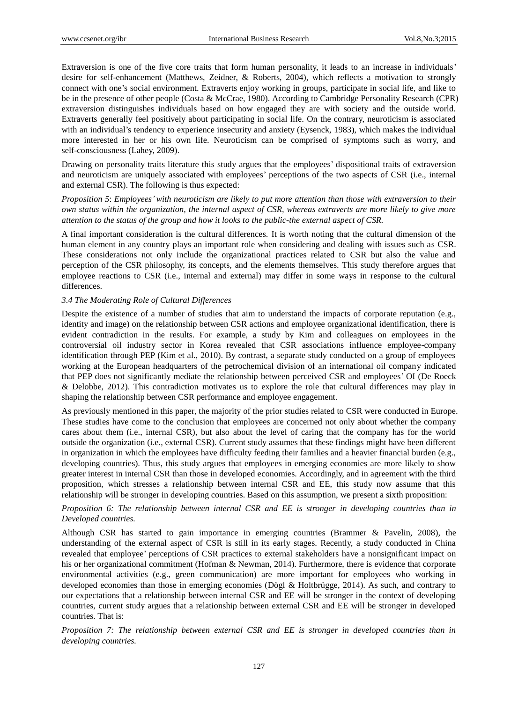Extraversion is one of the five core traits that form human personality, it leads to an increase in individuals" desire for self-enhancement (Matthews, Zeidner, & Roberts, 2004), which reflects a motivation to strongly connect with one"s social environment. Extraverts enjoy working in groups, participate in social life, and like to be in the presence of other people (Costa & McCrae, 1980). According to Cambridge Personality Research (CPR) extraversion distinguishes individuals based on how engaged they are with society and the outside world. Extraverts generally feel positively about participating in social life. On the contrary, neuroticism is associated with an individual's tendency to experience insecurity and anxiety (Eysenck, 1983), which makes the individual more interested in her or his own life. Neuroticism can be comprised of symptoms such as worry, and self-consciousness (Lahey, 2009).

Drawing on personality traits literature this study argues that the employees" dispositional traits of extraversion and neuroticism are uniquely associated with employees' perceptions of the two aspects of CSR (i.e., internal and external CSR). The following is thus expected:

*Proposition 5*: *Employees' with neuroticism are likely to put more attention than those with extraversion to their own status within the organization, the internal aspect of CSR, whereas extraverts are more likely to give more attention to the status of the group and how it looks to the public-the external aspect of CSR.*

A final important consideration is the cultural differences. It is worth noting that the cultural dimension of the human element in any country plays an important role when considering and dealing with issues such as CSR. These considerations not only include the organizational practices related to CSR but also the value and perception of the CSR philosophy, its concepts, and the elements themselves. This study therefore argues that employee reactions to CSR (i.e., internal and external) may differ in some ways in response to the cultural differences.

#### *3.4 The Moderating Role of Cultural Differences*

Despite the existence of a number of studies that aim to understand the impacts of corporate reputation (e.g., identity and image) on the relationship between CSR actions and employee organizational identification, there is evident contradiction in the results. For example, a study by Kim and colleagues on employees in the controversial oil industry sector in Korea revealed that CSR associations influence employee-company identification through PEP (Kim et al., 2010). By contrast, a separate study conducted on a group of employees working at the European headquarters of the petrochemical division of an international oil company indicated that PEP does not significantly mediate the relationship between perceived CSR and employees" OI (De Roeck & Delobbe, 2012). This contradiction motivates us to explore the role that cultural differences may play in shaping the relationship between CSR performance and employee engagement.

As previously mentioned in this paper, the majority of the prior studies related to CSR were conducted in Europe. These studies have come to the conclusion that employees are concerned not only about whether the company cares about them (i.e., internal CSR), but also about the level of caring that the company has for the world outside the organization (i.e., external CSR). Current study assumes that these findings might have been different in organization in which the employees have difficulty feeding their families and a heavier financial burden (e.g., developing countries)*.* Thus, this study argues that employees in emerging economies are more likely to show greater interest in internal CSR than those in developed economies. Accordingly, and in agreement with the third proposition, which stresses a relationship between internal CSR and EE, this study now assume that this relationship will be stronger in developing countries. Based on this assumption, we present a sixth proposition:

# *Proposition 6: The relationship between internal CSR and EE is stronger in developing countries than in Developed countries.*

Although CSR has started to gain importance in emerging countries (Brammer & Pavelin, 2008), the understanding of the external aspect of CSR is still in its early stages. Recently, a study conducted in China revealed that employee" perceptions of CSR practices to external stakeholders have a nonsignificant impact on his or her organizational commitment (Hofman & Newman, 2014). Furthermore, there is evidence that corporate environmental activities (e.g., green communication) are more important for employees who working in developed economies than those in emerging economies (Dögl & Holtbrügge, 2014). As such, and contrary to our expectations that a relationship between internal CSR and EE will be stronger in the context of developing countries, current study argues that a relationship between external CSR and EE will be stronger in developed countries. That is:

*Proposition 7: The relationship between external CSR and EE is stronger in developed countries than in developing countries.*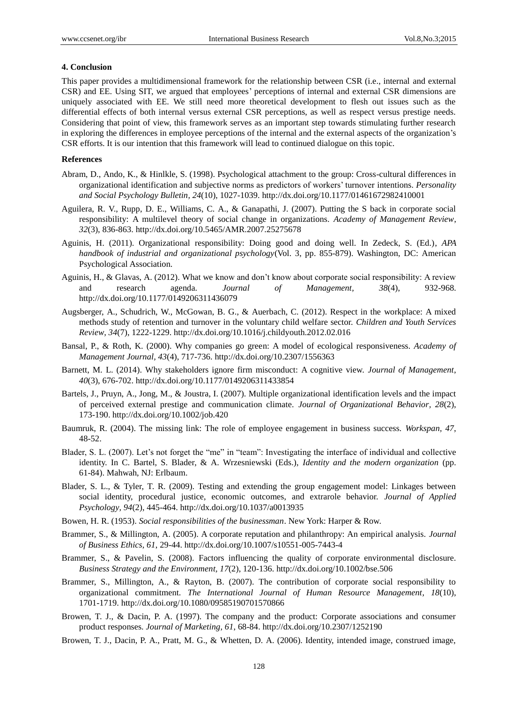#### **4. Conclusion**

This paper provides a multidimensional framework for the relationship between CSR (i.e., internal and external CSR) and EE. Using SIT, we argued that employees" perceptions of internal and external CSR dimensions are uniquely associated with EE. We still need more theoretical development to flesh out issues such as the differential effects of both internal versus external CSR perceptions, as well as respect versus prestige needs. Considering that point of view, this framework serves as an important step towards stimulating further research in exploring the differences in employee perceptions of the internal and the external aspects of the organization"s CSR efforts. It is our intention that this framework will lead to continued dialogue on this topic.

#### **References**

- Abram, D., Ando, K., & Hinlkle, S. (1998). Psychological attachment to the group: Cross-cultural differences in organizational identification and subjective norms as predictors of workers" turnover intentions. *Personality and Social Psychology Bulletin, 24*(10), 1027-1039. http://dx.doi.org/10.1177/01461672982410001
- Aguilera, R. V., Rupp, D. E., Williams, C. A., & Ganapathi, J. (2007). Putting the S back in corporate social responsibility: A multilevel theory of social change in organizations. *Academy of Management Review*, *32*(3), 836-863. http://dx.doi.org/10.5465/AMR.2007.25275678
- Aguinis, H. (2011). Organizational responsibility: Doing good and doing well. In Zedeck, S. (Ed.), *APA handbook of industrial and organizational psychology*(Vol. 3, pp. 855-879). Washington, DC: American Psychological Association.
- Aguinis, H., & Glavas, A. (2012). What we know and don"t know about corporate social responsibility: A review and research agenda. *Journal of Management, 38*(4), 932-968. http://dx.doi.org/10.1177/0149206311436079
- Augsberger, A., Schudrich, W., McGowan, B. G., & Auerbach, C. (2012). Respect in the workplace: A mixed methods study of retention and turnover in the voluntary child welfare sector. *Children and Youth Services Review, 34*(7), 1222-1229. http://dx.doi.org/10.1016/j.childyouth.2012.02.016
- Bansal, P., & Roth, K. (2000). Why companies go green: A model of ecological responsiveness. *Academy of Management Journal, 43*(4), 717-736. http://dx.doi.org/10.2307/1556363
- Barnett, M. L. (2014). Why stakeholders ignore firm misconduct: A cognitive view. *Journal of Management*, *40*(3), 676-702. http://dx.doi.org/10.1177/0149206311433854
- Bartels, J., Pruyn, A., Jong, M., & Joustra, I. (2007). Multiple organizational identification levels and the impact of perceived external prestige and communication climate. *Journal of Organizational Behavior, 28*(2), 173-190. http://dx.doi.org/10.1002/job.420
- Baumruk, R. (2004). The missing link: The role of employee engagement in business success. *Workspan, 47*, 48-52.
- Blader, S. L. (2007). Let"s not forget the "me" in "team": Investigating the interface of individual and collective identity. In C. Bartel, S. Blader, & A. Wrzesniewski (Eds.), *Identity and the modern organization* (pp. 61-84). Mahwah, NJ: Erlbaum.
- Blader, S. L., & Tyler, T. R. (2009). Testing and extending the group engagement model: Linkages between social identity, procedural justice, economic outcomes, and extrarole behavior. *Journal of Applied Psychology, 94*(2), 445-464. http://dx.doi.org/10.1037/a0013935
- Bowen, H. R. (1953). *Social responsibilities of the businessman*. New York: Harper & Row.
- Brammer, S., & Millington, A. (2005). A corporate reputation and philanthropy: An empirical analysis. *Journal of Business Ethics, 61*, 29-44. http://dx.doi.org/10.1007/s10551-005-7443-4
- Brammer, S., & Pavelin, S. (2008). Factors influencing the quality of corporate environmental disclosure. *Business Strategy and the Environment, 17*(2), 120-136. http://dx.doi.org/10.1002/bse.506
- Brammer, S., Millington, A., & Rayton, B. (2007). The contribution of corporate social responsibility to organizational commitment. *The International Journal of Human Resource Management, 18*(10), 1701-1719. http://dx.doi.org/10.1080/09585190701570866
- Browen, T. J., & Dacin, P. A. (1997). The company and the product: Corporate associations and consumer product responses. *Journal of Marketing, 61*, 68-84. http://dx.doi.org/10.2307/1252190
- Browen, T. J., Dacin, P. A., Pratt, M. G., & Whetten, D. A. (2006). Identity, intended image, construed image,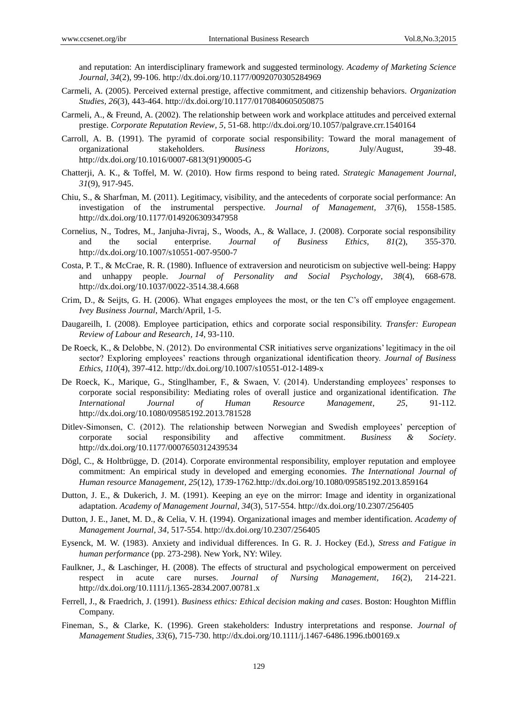and reputation: An interdisciplinary framework and suggested terminology. *Academy of Marketing Science Journal, 34*(2), 99-106. http://dx.doi.org/10.1177/0092070305284969

- Carmeli, A. (2005). Perceived external prestige, affective commitment, and citizenship behaviors. *Organization Studies, 26*(3), 443-464. http://dx.doi.org/10.1177/0170840605050875
- Carmeli, A., & Freund, A. (2002). The relationship between work and workplace attitudes and perceived external prestige. *Corporate Reputation Review, 5*, 51-68. http://dx.doi.org/10.1057/palgrave.crr.1540164
- Carroll, A. B. (1991). The pyramid of corporate social responsibility: Toward the moral management of organizational stakeholders. *Business Horizons,* July/August, 39-48. http://dx.doi.org/10.1016/0007-6813(91)90005-G
- Chatterji, A. K., & Toffel, M. W. (2010). How firms respond to being rated. *Strategic Management Journal*, *31*(9), 917-945.
- Chiu, S., & Sharfman, M. (2011). Legitimacy, visibility, and the antecedents of corporate social performance: An investigation of the instrumental perspective. *Journal of Management, 37*(6), 1558-1585. http://dx.doi.org/10.1177/0149206309347958
- Cornelius, N., Todres, M., Janjuha-Jivraj, S., Woods, A., & Wallace, J. (2008). Corporate social responsibility and the social enterprise. *Journal of Business Ethics, 81*(2), 355-370. http://dx.doi.org/10.1007/s10551-007-9500-7
- Costa, P. T., & McCrae, R. R. (1980). Influence of extraversion and neuroticism on subjective well-being: Happy and unhappy people. *Journal of Personality and Social Psychology, 38*(4), 668-678. http://dx.doi.org/10.1037/0022-3514.38.4.668
- Crim, D., & Seijts, G. H. (2006). What engages employees the most, or the ten C"s off employee engagement. *Ivey Business Journal*, March/April, 1-5.
- Daugareilh, I. (2008). Employee participation, ethics and corporate social responsibility. *Transfer: European Review of Labour and Research, 14*, 93-110.
- De Roeck, K., & Delobbe, N. (2012). Do environmental CSR initiatives serve organizations" legitimacy in the oil sector? Exploring employees" reactions through organizational identification theory. *Journal of Business Ethics, 110*(4), 397-412. http://dx.doi.org/10.1007/s10551-012-1489-x
- De Roeck, K., Marique, G., Stinglhamber, F., & Swaen, V. (2014). Understanding employees' responses to corporate social responsibility: Mediating roles of overall justice and organizational identification. *The International Journal of Human Resource Management, 25*, 91-112. http://dx.doi.org/10.1080/09585192.2013.781528
- Ditlev-Simonsen, C. (2012). The relationship between Norwegian and Swedish employees" perception of corporate social responsibility and affective commitment. *Business & Society*. http://dx.doi.org/10.1177/0007650312439534
- Dögl, C., & Holtbrügge, D. (2014). Corporate environmental responsibility, employer reputation and employee commitment: An empirical study in developed and emerging economies. *The International Journal of Human resource Management, 25*(12), 1739-1762.http://dx.doi.org/10.1080/09585192.2013.859164
- Dutton, J. E., & Dukerich, J. M. (1991). Keeping an eye on the mirror: Image and identity in organizational adaptation. *Academy of Management Journal, 34*(3), 517-554. http://dx.doi.org/10.2307/256405
- Dutton, J. E., Janet, M. D., & Celia, V. H. (1994). Organizational images and member identification. *Academy of Management Journal, 34*, 517-554. http://dx.doi.org/10.2307/256405
- Eysenck, M. W. (1983). Anxiety and individual differences. In G. R. J. Hockey (Ed.), *Stress and Fatigue in human performance* (pp. 273-298). New York, NY: Wiley.
- Faulkner, J., & Laschinger, H. (2008). The effects of structural and psychological empowerment on perceived respect in acute care nurses. *Journal of Nursing Management, 16*(2), 214-221. http://dx.doi.org/10.1111/j.1365-2834.2007.00781.x
- Ferrell, J., & Fraedrich, J. (1991). *Business ethics: Ethical decision making and cases*. Boston: Houghton Mifflin Company.
- Fineman, S., & Clarke, K. (1996). Green stakeholders: Industry interpretations and response. *Journal of Management Studies, 33*(6), 715-730. http://dx.doi.org/10.1111/j.1467-6486.1996.tb00169.x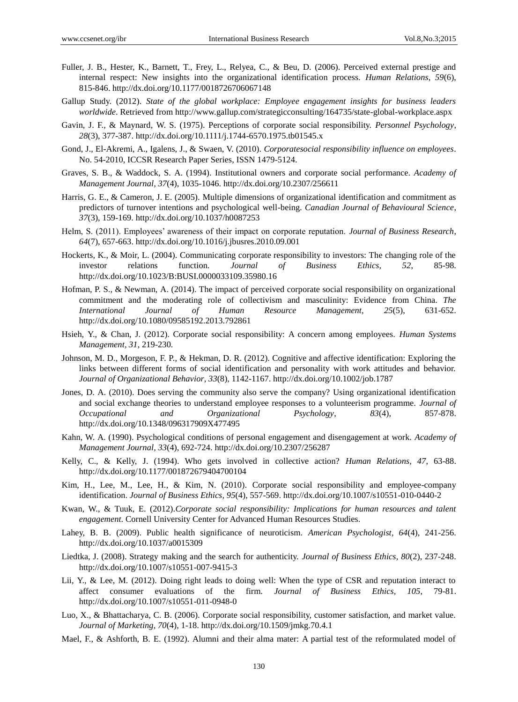- Fuller, J. B., Hester, K., Barnett, T., Frey, L., Relyea, C., & Beu, D. (2006). Perceived external prestige and internal respect: New insights into the organizational identification process. *Human Relations, 59*(6), 815-846. http://dx.doi.org/10.1177/0018726706067148
- Gallup Study. (2012). *State of the global workplace: Employee engagement insights for business leaders worldwide*. Retrieved from http://www.gallup.com/strategicconsulting/164735/state-global-workplace.aspx
- Gavin, J. F., & Maynard, W. S. (1975). Perceptions of corporate social responsibility. *Personnel Psychology*, *28*(3), 377-387. http://dx.doi.org/10.1111/j.1744-6570.1975.tb01545.x
- Gond, J., El-Akremi, A., Igalens, J., & Swaen, V. (2010). *Corporatesocial responsibility influence on employees*. No. 54-2010, ICCSR Research Paper Series, ISSN 1479-5124.
- Graves, S. B., & Waddock, S. A. (1994). Institutional owners and corporate social performance. *Academy of Management Journal, 37*(4), 1035-1046. http://dx.doi.org/10.2307/256611
- Harris, G. E., & Cameron, J. E. (2005). Multiple dimensions of organizational identification and commitment as predictors of turnover intentions and psychological well-being. *Canadian Journal of Behavioural Science*, *37*(3), 159-169. http://dx.doi.org/10.1037/h0087253
- Helm, S. (2011). Employees" awareness of their impact on corporate reputation. *Journal of Business Research*, *64*(7), 657-663. http://dx.doi.org/10.1016/j.jbusres.2010.09.001
- Hockerts, K., & Moir, L. (2004). Communicating corporate responsibility to investors: The changing role of the investor relations function. *Journal of Business Ethics, 52*, 85-98. http://dx.doi.org/10.1023/B:BUSI.0000033109.35980.16
- Hofman, P. S., & Newman, A. (2014). The impact of perceived corporate social responsibility on organizational commitment and the moderating role of collectivism and masculinity: Evidence from China. *The International Journal of Human Resource Management, 25*(5), 631-652. http://dx.doi.org/10.1080/09585192.2013.792861
- Hsieh, Y., & Chan, J. (2012). Corporate social responsibility: A concern among employees. *Human Systems Management, 31*, 219-230.
- Johnson, M. D., Morgeson, F. P., & Hekman, D. R. (2012). Cognitive and affective identification: Exploring the links between different forms of social identification and personality with work attitudes and behavior. *Journal of Organizational Behavior, 33*(8), 1142-1167. http://dx.doi.org/10.1002/job.1787
- Jones, D. A. (2010). Does serving the community also serve the company? Using organizational identification and social exchange theories to understand employee responses to a volunteerism programme. *Journal of Occupational and Organizational Psychology, 83*(4), 857-878. http://dx.doi.org/10.1348/096317909X477495
- Kahn, W. A. (1990). Psychological conditions of personal engagement and disengagement at work. *Academy of Management Journal, 33*(4), 692-724. http://dx.doi.org/10.2307/256287
- Kelly, C., & Kelly, J. (1994). Who gets involved in collective action? *Human Relations, 47*, 63-88. http://dx.doi.org/10.1177/001872679404700104
- Kim, H., Lee, M., Lee, H., & Kim, N. (2010). Corporate social responsibility and employee-company identification. *Journal of Business Ethics, 95*(4), 557-569. http://dx.doi.org/10.1007/s10551-010-0440-2
- Kwan, W., & Tuuk, E. (2012).*Corporate social responsibility: Implications for human resources and talent engagement*. Cornell University Center for Advanced Human Resources Studies.
- Lahey, B. B. (2009). Public health significance of neuroticism. *American Psychologist, 64*(4), 241-256. http://dx.doi.org/10.1037/a0015309
- Liedtka, J. (2008). Strategy making and the search for authenticity. *Journal of Business Ethics, 80*(2), 237-248. http://dx.doi.org/10.1007/s10551-007-9415-3
- Lii, Y., & Lee, M. (2012). Doing right leads to doing well: When the type of CSR and reputation interact to affect consumer evaluations of the firm. *Journal of Business Ethics, 105*, 79-81. http://dx.doi.org/10.1007/s10551-011-0948-0
- Luo, X., & Bhattacharya, C. B. (2006). Corporate social responsibility, customer satisfaction, and market value. *Journal of Marketing, 70*(4), 1-18. http://dx.doi.org/10.1509/jmkg.70.4.1
- Mael, F., & Ashforth, B. E. (1992). Alumni and their alma mater: A partial test of the reformulated model of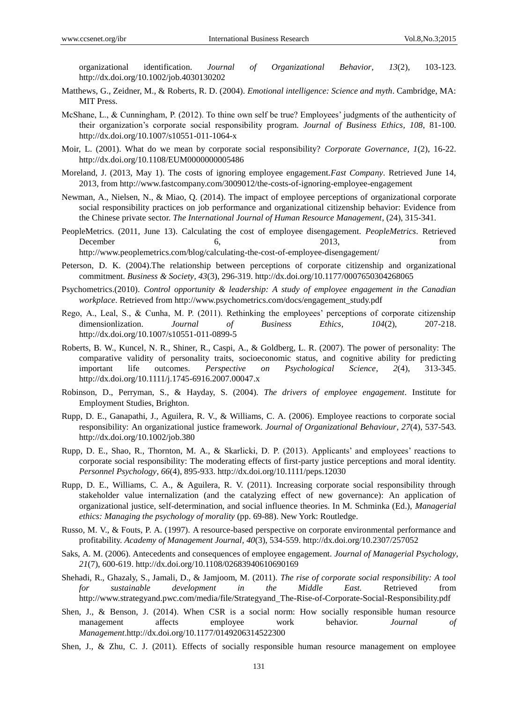organizational identification. *Journal of Organizational Behavior, 13*(2), 103-123. http://dx.doi.org/10.1002/job.4030130202

- Matthews, G., Zeidner, M., & Roberts, R. D. (2004). *Emotional intelligence: Science and myth*. Cambridge, MA: MIT Press.
- McShane, L., & Cunningham, P. (2012). To thine own self be true? Employees" judgments of the authenticity of their organization"s corporate social responsibility program. *Journal of Business Ethics, 108*, 81-100. http://dx.doi.org/10.1007/s10551-011-1064-x
- Moir, L. (2001). What do we mean by corporate social responsibility? *Corporate Governance, 1*(2), 16-22. http://dx.doi.org/10.1108/EUM0000000005486
- Moreland, J. (2013, May 1). The costs of ignoring employee engagement.*Fast Company*. Retrieved June 14, 2013, from http://www.fastcompany.com/3009012/the-costs-of-ignoring-employee-engagement
- Newman, A., Nielsen, N., & Miao, Q. (2014). The impact of employee perceptions of organizational corporate social responsibility practices on job performance and organizational citizenship behavior: Evidence from the Chinese private sector. *The International Journal of Human Resource Management*, (24), 315-341.
- PeopleMetrics. (2011, June 13). Calculating the cost of employee disengagement. *PeopleMetrics*. Retrieved December 6, 2013, from http://www.peoplemetrics.com/blog/calculating-the-cost-of-employee-disengagement/
- Peterson, D. K. (2004).The relationship between perceptions of corporate citizenship and organizational commitment. *Business & Society, 43*(3), 296-319. http://dx.doi.org/10.1177/0007650304268065
- Psychometrics.(2010). *Control opportunity & leadership: A study of employee engagement in the Canadian workplace*. Retrieved from http://www.psychometrics.com/docs/engagement\_study.pdf
- Rego, A., Leal, S., & Cunha, M. P. (2011). Rethinking the employees" perceptions of corporate citizenship dimensionlization. *Journal of Business Ethics, 104*(2), 207-218. http://dx.doi.org/10.1007/s10551-011-0899-5
- Roberts, B. W., Kuncel, N. R., Shiner, R., Caspi, A., & Goldberg, L. R. (2007). The power of personality: The comparative validity of personality traits, socioeconomic status, and cognitive ability for predicting important life outcomes. *Perspective on Psychological Science, 2*(4), 313-345. http://dx.doi.org/10.1111/j.1745-6916.2007.00047.x
- Robinson, D., Perryman, S., & Hayday, S. (2004). *The drivers of employee engagement*. Institute for Employment Studies, Brighton.
- Rupp, D. E., Ganapathi, J., Aguilera, R. V., & Williams, C. A. (2006). Employee reactions to corporate social responsibility: An organizational justice framework. *Journal of Organizational Behaviour, 27*(4), 537-543. http://dx.doi.org/10.1002/job.380
- Rupp, D. E., Shao, R., Thornton, M. A., & Skarlicki, D. P. (2013). Applicants" and employees" reactions to corporate social responsibility: The moderating effects of first-party justice perceptions and moral identity. *Personnel Psychology, 66*(4), 895-933. http://dx.doi.org/10.1111/peps.12030
- Rupp, D. E., Williams, C. A., & Aguilera, R. V. (2011). Increasing corporate social responsibility through stakeholder value internalization (and the catalyzing effect of new governance): An application of organizational justice, self-determination, and social influence theories. In M. Schminka (Ed.), *Managerial ethics: Managing the psychology of morality* (pp. 69-88). New York: Routledge.
- Russo, M. V., & Fouts, P. A. (1997). A resource-based perspective on corporate environmental performance and profitability. *Academy of Management Journal, 40*(3), 534-559. http://dx.doi.org/10.2307/257052
- Saks, A. M. (2006). Antecedents and consequences of employee engagement. *Journal of Managerial Psychology*, *21*(7), 600-619. http://dx.doi.org/10.1108/02683940610690169
- Shehadi, R., Ghazaly, S., Jamali, D., & Jamjoom, M. (2011). *The rise of corporate social responsibility: A tool for sustainable development in the Middle East.* Retrieved from http://www.strategyand.pwc.com/media/file/Strategyand\_The-Rise-of-Corporate-Social-Responsibility.pdf
- Shen, J., & Benson, J. (2014). When CSR is a social norm: How socially responsible human resource management affects employee work behavior. *Journal of Management*.http://dx.doi.org/10.1177/0149206314522300
- Shen, J., & Zhu, C. J. (2011). Effects of socially responsible human resource management on employee